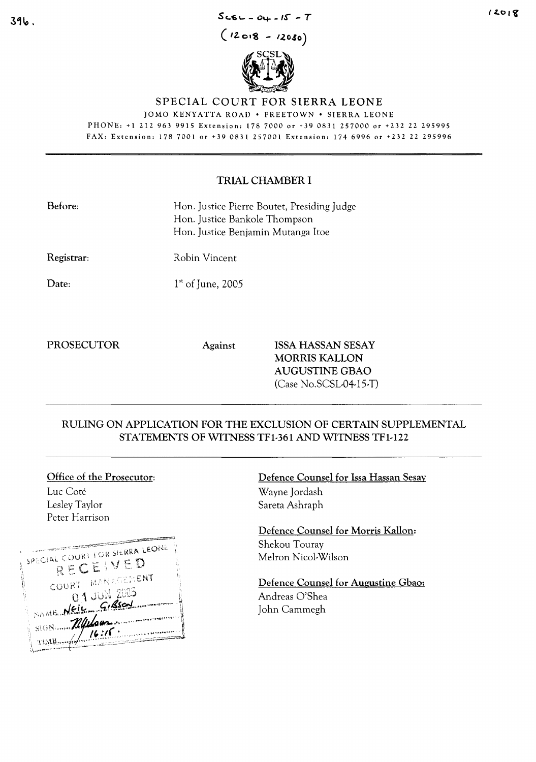#### $Scsc - 04 - 15 - T$

 $(12018 - 12030)$  $\mathscr{N}$  scales



## SPECIAL COURT FOR SIERRA LEONE

JOMO KENYATTA ROAD· FREETOWN· SIERRA LEONE PHONE, +1 212963 9915 Extension: 1787000 or +390831257000 or +232 22 295995

FAX, Extension, 1787001 or +39 0831257001 Extension, 1746996 or +232 22 295996

## TRIAL CHAMBER I

| Before:    | Hon. Justice Pierre Boutet, Presiding Judge<br>Hon. Justice Bankole Thompson<br>Hon. Justice Benjamin Mutanga Itoe |
|------------|--------------------------------------------------------------------------------------------------------------------|
| Registrar: | Robin Vincent                                                                                                      |
| Date:      | $1st$ of June, 2005                                                                                                |
|            |                                                                                                                    |

PROSECUTOR Against ISSA HASSAN SESAY MORRIS KALLON AUGUSTINE GBAO (Case No.SCSL-04-15-T)

## RULING ON APPLICATION FOR THE EXCLUSION OF CERTAIN SUPPLEMENTAL STATEMENTS OF WITNESS TFl-361 AND WITNESS TFl-122

# Office of the Prosecutor:

Luc Cote Lesley Taylor Peter Harrison

| SPECIAL COURT FOR SIERRA LEONE |
|--------------------------------|
| RECEIVED                       |
| COURT MANAGEMENT               |
| <b>01 JUN 2005</b>             |
| NAME NEIL GIRSON               |
| SIGN Mildour                   |
| TIME 16:16.                    |
|                                |

Defence Counsel for Issa Hassan Sesay Wayne Jordash Sareta Ashraph

Defence Counsel for Morris Kallon: Shekou Touray Melron Nicol-Wilson

Defence Counsel for Augustine Gbao: Andreas O'Shea John Cammegh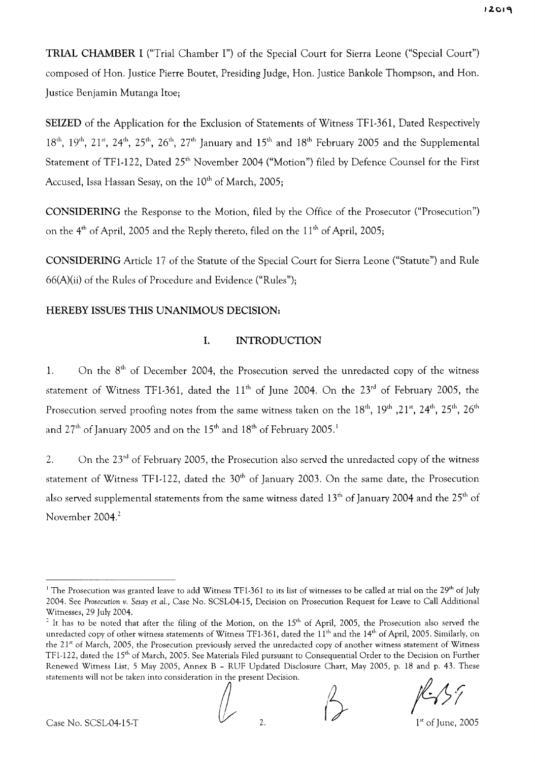**TRIAL CHAMBER I** ("Trial Chamber I") of the Special Court for Sierra Leone ("Special Court") composed of Han. Justice Pierre Boutet, Presiding Judge, Han. Justice Bankole Thompson, and Han. Justice Benjamin Mutanga ltoe;

**SEIZED** of the Application for the Exclusion of Statements of Witness TFI-361, Dated Respectively  $18^{\text{th}}$ ,  $19^{\text{th}}$ ,  $21^{\text{st}}$ ,  $24^{\text{th}}$ ,  $25^{\text{th}}$ ,  $26^{\text{th}}$ ,  $27^{\text{th}}$  January and  $15^{\text{th}}$  and  $18^{\text{th}}$  February 2005 and the Supplemental Statement of TF1-122, Dated 25<sup>th</sup> November 2004 ("Motion") filed by Defence Counsel for the First Accused, Issa Hassan Sesay, on the  $10^{th}$  of March, 2005;

**CONSIDERING** the Response to the Motion, filed by the Office of the Prosecutor ("Prosecution") on the  $4<sup>th</sup>$  of April, 2005 and the Reply thereto, filed on the  $11<sup>th</sup>$  of April, 2005;

**CONSIDERING** Article 17 of the Statute of the Special Court for Sierra Leone ("Statute") and Rule 66(A)(ii) of the Rules of Procedure and Evidence ("Rules");

## **HEREBY** ISSUES **THIS UNANIMOUS DECISION:**

## **1. INTRODUCTION**

1. On the  $8<sup>th</sup>$  of December 2004, the Prosecution served the unredacted copy of the witness statement of Witness TF1-361, dated the  $11<sup>th</sup>$  of June 2004. On the  $23<sup>rd</sup>$  of February 2005, the Prosecution served proofing notes from the same witness taken on the  $18^{\rm th}$ ,  $19^{\rm th}$  , $21^{\rm st}$ ,  $24^{\rm th}$ ,  $25^{\rm th}$ ,  $26^{\rm th}$ and  $27<sup>th</sup>$  of January 2005 and on the  $15<sup>th</sup>$  and  $18<sup>th</sup>$  of February 2005.<sup>1</sup>

2. On the 23<sup>rd</sup> of February 2005, the Prosecution also served the unredacted copy of the witness statement of Witness TF1-122, dated the  $30<sup>th</sup>$  of January 2003. On the same date, the Prosecution also served supplemental statements from the same witness dated  $13<sup>th</sup>$  of January 2004 and the 25<sup>th</sup> of November 2004. <sup>2</sup>

;/. /l *<sup>r</sup>* **/-.::,** /!

Case No. SCSL-04-15-T  $\sqrt{2}$ .

<sup>&</sup>lt;sup>1</sup> The Prosecution was granted leave to add Witness TF1-361 to its list of witnesses to be called at trial on the 29<sup>th</sup> of July 2004. See *Prosecution v. Sesay* et *al.,* Case No. SCSL-04-l5, Decision on Prosecution Request for Leave to Call Additional Witnesses, 29 July 2004.

<sup>&</sup>lt;sup>2</sup> It has to be noted that after the filing of the Motion, on the  $15<sup>th</sup>$  of April, 2005, the Prosecution also served the unredacted copy of other witness statements of Witness TF1-361, dated the  $11^{\text{th}}$  and the  $14^{\text{th}}$  of April, 2005. Similarly, on the 21<sup>st</sup> of March, 2005, the Prosecution previously served the unredacted copy of another witness statement of Witness TF1-122, dated the 15<sup>th</sup> of March, 2005. See Materials Filed pursuant to Consequential Order to the Decision on Further Renewed Witness List, 5 May 2005, Annex B - RUF Updated Disclosure Chart, May 2005, p. 18 and p. 43. These 1F1-122, dated the 15" of March, 2005. See Materials Filed pursuant t<br>Renewed Witness List, 5 May 2005, Annex B - RUF Updated Disc<br>statements will not be taken into consideration in the present Decision.<br>A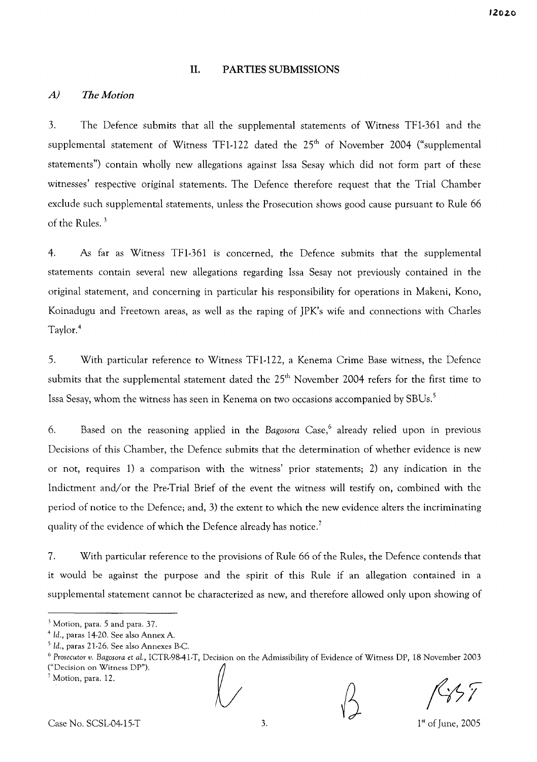#### **II. PARTIES SUBMISSIONS**

#### *A) The Motion*

3. The Defence submits that all the supplemental statements of Witness TFl-361 and the supplemental statement of Witness TF1-122 dated the 25<sup>th</sup> of November 2004 ("supplemental statements") contain wholly new allegations against Issa Sesay which did not form part of these witnesses' respective original statements. The Defence therefore request that the Trial Chamber exclude such supplemental statements, unless the Prosecution shows good cause pursuant to Rule 66 of the Rules. <sup>3</sup>

4. As far as Witness TFl-361 is concerned, the Defence submits that the supplemental statements contain several new allegations regarding Issa Sesay not previously contained in the original statement, and concerning in particular his responsibility for operations in Makeni, Kono, Koinadugu and Freetown areas, as well as the raping of JPK's wife and connections with Charles Taylor. <sup>4</sup>

5. With particular reference to Witness TFl-122, a Kenema Crime Base witness, the Defence submits that the supplemental statement dated the 25<sup>th</sup> November 2004 refers for the first time to Issa Sesay, whom the witness has seen in Kenema on two occasions accompanied by SBUs. <sup>5</sup>

6. Based on the reasoning applied in the *Bagosora* Case,6 already relied upon in previous Decisions of this Chamber, the Defence submits that the determination of whether evidence is new or not, requires 1) a comparison with the witness' prior statements; 2) any indication in the Indictment and/or the Pre-Trial Brief of the event the witness will testify on, combined with the period of notice to the Defence; and, 3) the extent to which the new evidence alters the incriminating quality of the evidence of which the Defence already has notice.<sup>7</sup>

7. With particular reference to the provisions of Rule 66 of the Rules, the Defence contends that it would be against the purpose and the spirit of this Rule if an allegation contained in a supplemental statement cannot be characterized as new, and therefore allowed only upon showing of

<sup>3</sup> Motion, para. 5 and para. 37.

*<sup>4</sup>* Id., paras 14-20. See also Annex A.

 $<sup>5</sup>$  Id., paras 21-26. See also Annexes B-C.</sup>

<sup>&</sup>lt;sup>6</sup> Prosecutor *v. Bagosora et al.*, ICTR-98-41-T, Decision on the Admissibility of Evidence of Witness DP, 18 November 2003<br><sup>6</sup> Prosecutor *v. Bagosora et al.*, ICTR-98-41-T, Decision on the Admissibility of Evidence of W Modoo, pm <sup>12</sup> IV () *f/7i*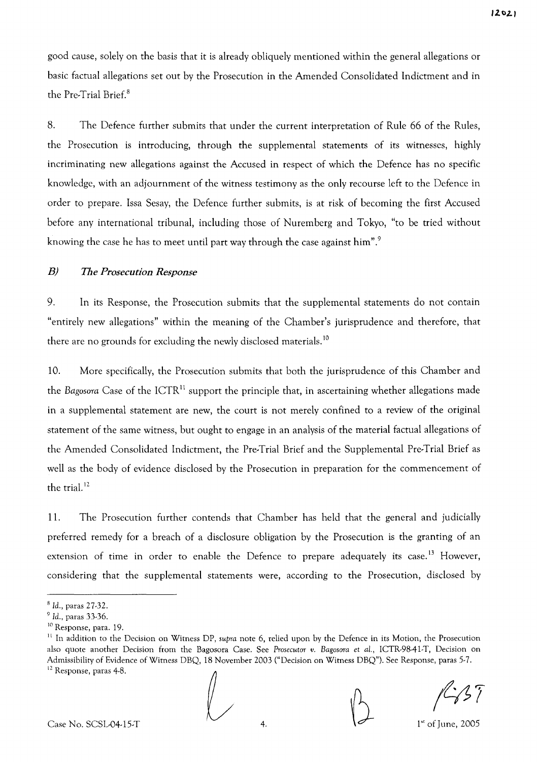good cause, solely on the basis that it is already obliquely mentioned within the general allegations or basic factual allegations set out by the Prosecution in the Amended Consolidated Indictment and in the Pre-Trial Brief. <sup>8</sup>

8. The Defence further submits that under the current interpretation of Rule 66 of the Rules, the Prosecution is introducing, through the supplemental statements of its witnesses, highly incriminating new allegations against the Accused in respect of which the Defence has no specific knowledge, with an adjournment of the witness testimony as the only recourse left to the Defence in order to prepare. Issa Sesay, the Defence further submits, is at risk of becoming the first Accused before any international tribunal, including those of Nuremberg and Tokyo, "to be tried without knowing the case he has to meet until part way through the case against him".<sup>9</sup>

## *B) The Prosecution Response*

9. In its Response, the Prosecution submits that the supplemental statements do not contain "entirely new allegations" within the meaning of the Chamber's jurisprudence and therefore, that there are no grounds for excluding the newly disclosed materials.<sup>10</sup>

10. More specifically, the Prosecution submits that both the jurisprudence of this Chamber and the *Bagosora* Case of the ICTR<sup>11</sup> support the principle that, in ascertaining whether allegations made in a supplemental statement are new, the court is not merely confined to a review of the original statement of the same witness, but ought to engage in an analysis of the material factual allegations of the Amended Consolidated Indictment, the Pre-Trial Brief and the Supplemental Pre-Trial Brief as well as the body of evidence disclosed by the Prosecution in preparation for the commencement of the trial.<sup>12</sup>

11. The Prosecution further contends that Chamber has held that the general and judicially preferred remedy for a breach of a disclosure obligation by the Prosecution is the granting of an extension of time in order to enable the Defence to prepare adequately its case.<sup>13</sup> However, considering that the supplemental statements were, according to the Prosecution, disclosed by

 $1<sup>st</sup>$  of June, 2005

<sup>8</sup> Id., paras 27-32.

*<sup>9</sup>* Id., paras 33-36.

<sup>10</sup> Response, para. 19.

<sup>11</sup> In addition to the Decision on Witness DP, *supra* note 6, relied upon by the Defence in its Motion, the Prosecution also quote another Decision from the Bagosora Case. See *Prosecutor v. Bagosora et aI.,* ICTR-98-41-T, Decision on Admissibility of Evidence of Witness DBQ, 18 November 2003 ("Decision on Witness DBQ"). See Response, paras 5-7. <sup>12</sup> Response, paras 4-8.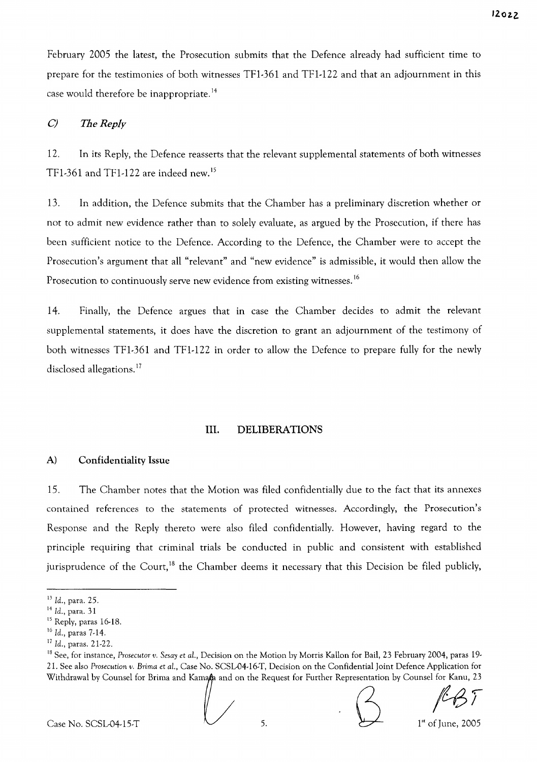February 2005 the latest, the Prosecution submits that the Defence already had sufficient time to prepare for the testimonies of both witnesses TFI-361 and TFl-I22 and that an adjournment in this case would therefore be inappropriate.<sup>14</sup>

### C) *The Reply*

12. In its Reply, the Defence reasserts that the relevant supplemental statements of both witnesses TF1-361 and TF1-122 are indeed new.<sup>15</sup>

13. In addition, the Defence submits that the Chamber has a preliminary discretion whether or not to admit new evidence rather than to solely evaluate, as argued by the Prosecution, if there has been sufficient notice to the Defence. According to the Defence, the Chamber were to accept the Prosecution's argument that all "relevant" and "new evidence" is admissible, it would then allow the Prosecution to continuously serve new evidence from existing witnesses.<sup>16</sup>

14. Finally, the Defence argues that in case the Chamber decides to admit the relevant supplemental statements, it does have the discretion to grant an adjournment of the testimony of both witnesses TFI-361 and TFl-I22 in order to allow the Defence to prepare fully for the newly disclosed allegations.<sup>17</sup>

#### **III. DELIBERATIONS**

#### A) Confidentiality Issue

15. The Chamber notes that the Motion was filed confidentially due to the fact that its annexes contained references to the statements of protected witnesses. Accordingly, the Prosecution's Response and the Reply thereto were also filed confidentially. However, having regard to the principle requiring that criminal trials be conducted in public and consistent with established jurisprudence of the Court,<sup>18</sup> the Chamber deems it necessary that this Decision be filed publicly,

Case No. SCSL04-15-T  $\bigcup_{5}$  5.  $\bigcup_{1^{st} \text{ of June, } 2005}$ 

<sup>13</sup> Id., para. 25.

<sup>14</sup> Id., para. 31

<sup>&</sup>lt;sup>15</sup> Reply, paras 16-18.

<sup>&</sup>lt;sup>16</sup> Id., paras 7-14.

*<sup>17</sup>* Id., paras. 21-22.

*<sup>1</sup>B* See, for instance, *Prosecutor v. Sesay* et *aL,* Decision on the Motion by Morris KaHon for Bail, 23 February 2004, paras 19- 21. See also *Prosecution v. Brima* et *aL,* Case No. SCSL-04-16-T, Decision on the Confidential Joint Defence Application for <sup>17</sup> Id., paras. 21-22.<br><sup>18</sup> See, for instance, *Prosecutor v. Sesay et al.*, Decision on the Motion by Morris Kallon for Bail, 23 February 2004, paras 19-<br>21. See also *Prosecution v. Brima et al.*, Case No. SCSL-04-16-T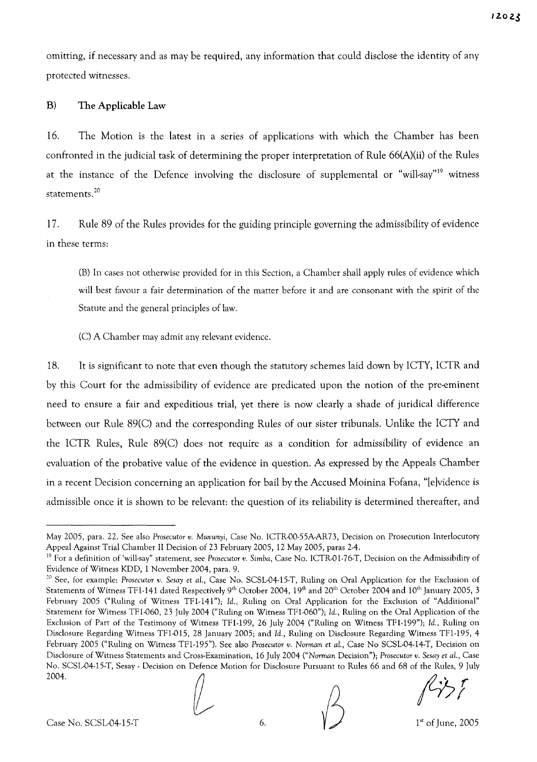omitting, if necessary and as may be required, any information that could disclose the identity of any protected witnesses.

## B) The Applicable Law

16. The Motion is the latest in a series of applications with which the Chamber has been confronted in the judicial task of determining the proper interpretation of Rule 66(A)(ii) of the Rules at the instance of the Defence involving the disclosure of supplemental or "will-say"<sup>19</sup> witness statements. <sup>20</sup>

17. Rule 89 of the Rules provides for the guiding principle governing the admissibility of evidence in these terms:

(B) In cases not otherwise provided for in this Section, a Chamber shall apply rules of evidence which will best favour a fair determination of the matter before it and are consonant with the spirit of the Statute and the general principles of law.

(C) A Chamber may admit any relevant evidence.

18. It is significant to note that even though the statutory schemes laid down by ICTY, ICTR and by this Court for the admissibility of evidence are predicated upon the notion of the pre-eminent need to ensure a fair and expeditious trial, yet there is now clearly a shade of juridical difference between our Rule 89(C) and the corresponding Rules of our sister tribunals. Unlike the ICTY and the ICTR Rules, Rule 89(C) does not require as a condition for admissibility of evidence an evaluation of the probative value of the evidence in question. As expressed by the Appeals Chamber in a recent Decision concerning an application for bail by the Accused Moinina Fofana, "[elvidence is admissible once it is shown to be relevant: the question of its reliability is determined thereafter, and

Case No. SCSL-04-15-T  $\bigvee_{\text{Case No. SCSLO4-15-T}}$  6.  $\bigvee_{\text{Case No. SCSLO4-15-T}}$  1st of June, 2005

 $f(z)$ 

May 2005, para. 22. See also *Prosecutor v. Muvunyi,* Case No. ICTR-OO-55AAR73, Decision on Prosecution Interlocutory Appeal Against Trial Chamber II Decision of 23 February 2005, 12 May 2005, paras 2-4.

<sup>&</sup>lt;sup>19</sup> For a definition of 'will-say" statement, see Prosecutor *v*. Simba, Case No. ICTR-01-76-T, Decision on the Admissibility of Evidence of Witness KDD, 1 November 2004, para. 9.

<sup>20</sup> See, for example: *Prosecutor v. Sesay et al.,* Case No. SCSL-04-I5-T, Ruling on Oral Application for the Exclusion of Statements of Witness TF1-141 dated Respectively 9<sup>th</sup> October 2004, 19<sup>th</sup> and 20<sup>th</sup> October 2004 and 10<sup>th</sup> January 2005, 3 February 2005 ("Ruling of Witness TFI-141"); Id., Ruling on Oral Application for the Exclusion of "Additional" Statement for Witness TFI-060, 23 July 2004 ("Ruling on Witness TFI-060"); Id., Ruling on the Oral Application of the Exclusion of Part of the Testimony of Witness TFI-199, 26 July 2004 ("Ruling on Witness TFI-199"); Id., Ruling on Disclosure Regarding Witness TFI-015, 28 January 2005; and Id., Ruling on Disclosure Regarding Witness TFI-195, 4 February 2005 ("Ruling on Witness TFI-195"). See also *Prosecutor v. Norman et al.,* Case No SCSL-04-14-T, Decision on Disclosure of Witness Statements and Cross-Examination, 16 July 2004 *("Norman* Decision"); *Prosecutor v. Sesay et al.,* Case No. SCSL-04-15-T, Sesay - Decision on Defence Motion for Disclosure Pursuant to Rules 66 and 68 of the Rules, 9 July 2004.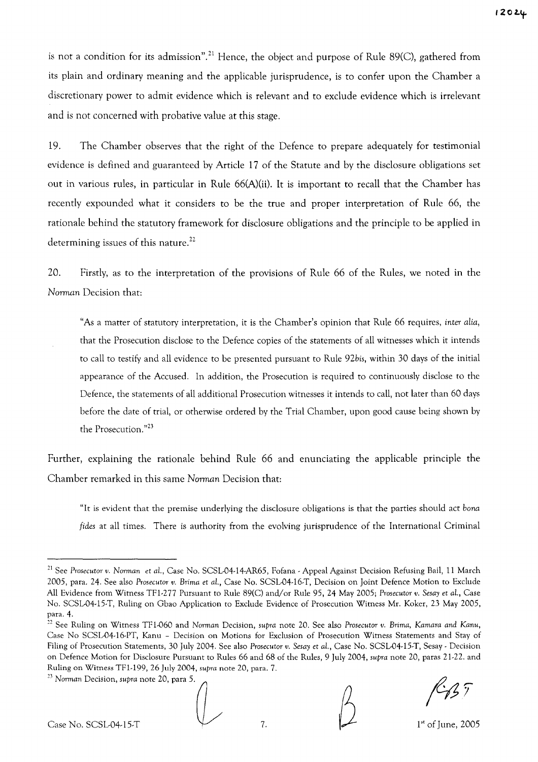is not a condition for its admission".<sup>21</sup> Hence, the object and purpose of Rule 89(C), gathered from its plain and ordinary meaning and the applicable jurisprudence, is to confer upon the Chamber a discretionary power to admit evidence which is relevant and to exclude evidence which is irrelevant and is not concerned with probative value at this stage.

19. The Chamber observes that the right of the Defence to prepare adequately for testimonial evidence is defined and guaranteed by Article 17 of the Statute and by the disclosure obligations set out in various rules, in particular in Rule 66(A)(ii). It is important to recall that the Chamber has recently expounded what it considers to be the true and proper interpretation of Rule 66, the rationale behind the statutory framework for disclosure obligations and the principle to be applied in determining issues of this nature.<sup>22</sup>

20. Firstly, as to the interpretation of the provisions of Rule 66 of the Rules, we noted in the *Norman* Decision that:

"As a matter of statutory interpretation, it is the Chamber's opinion that Rule 66 requires, inter *alia,* that the Prosecution disclose to the Defence copies of the statements of all witnesses which it intends to call to testify and all evidence to be presented pursuant to Rule *92bis,* within 30 days of the initial appearance of the Accused. In addition, the Prosecution is required to continuously disclose to the Defence, the statements of all additional Prosecution witnesses it intends to call, not later than 60 days before the date of trial, or otherwise ordered by the Trial Chamber, upon good cause being shown by the Prosecution."<sup>23</sup>

Further, explaining the rationale behind Rule 66 and enunciating the applicable principle the Chamber remarked in this same *Norman* Decision that:

"It is evident that the premise underlying the disclosure obligations is that the parties should act *bona* fides at all times. There is authority from the evolving jurisprudence of the International Criminal

<sup>&</sup>lt;sup>23</sup> Norman Decision, *supra* note 20, para 5.



 $1<sup>st</sup>$  of June, 2005

<sup>&</sup>lt;sup>21</sup> See Prosecutor v. Norman et al., Case No. SCSL04-14-AR65, Fofana - Appeal Against Decision Refusing Bail, 11 March 2005, para. 24. See also *Prosecutor v. Brima* et aL, Case No. SCSL-04-16-T, Decision on Joint Defence Motion to Exclude All Evidence from Witness TFl-277 Pursuant to Rule 89(C) and/or Rule 95, 24 May 2005; *Prosecutor v. Sesay* et aL, Case No. SCSL-04-15-T, Ruling on Gbao Application to Exclude Evidence of Prosecution Witness Mr. Koker, 23 May 2005, para. 4.

<sup>22</sup> See Ruling on Witness TFI-060 and *Norman* Decision, *supra* note 20. See also *Prosecutor v. Brima, Kamara and Kanu,* Case No SCSL-04-16-PT, Kanu - Decision on Motions for Exclusion of Prosecution Witness Statements and Stay of Filing of Prosecution Statements, 30 July 2004. See also *Prosecutor v. Sesay* et aL, Case No. SCSL-04-15-T, Sesay - Decision on Defence Motion for Disclosure Pursuant to Rules 66 and 68 of the Rules, 9 July 2004, *supra* note 20, paras 21-22. and Ruling on Witness TFl-199, 26 July 2004, *supra* note 20, para. 7.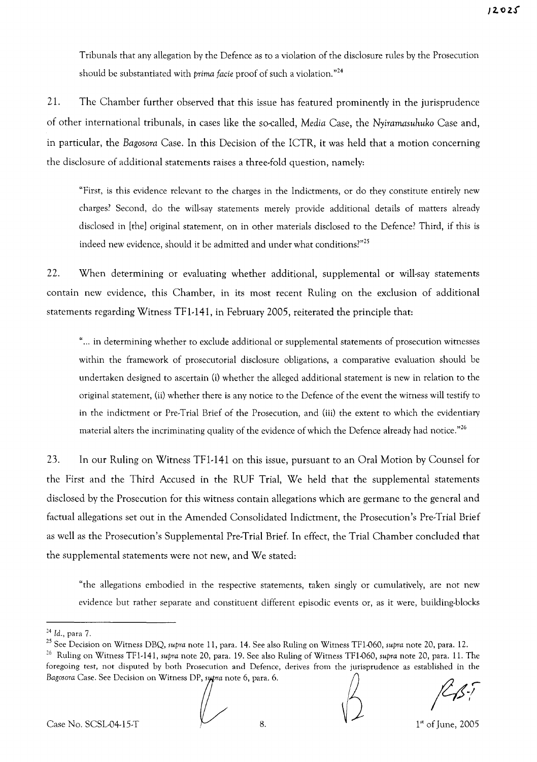Tribunals that any allegation by the Defence as to a violation of the disclosure rules by the Prosecution should be substantiated with *prima facie* proof of such a violation. "24

21. The Chamber further observed that this issue has featured prominently in the jurisprudence of other international tribunals, in cases like the so-called, *Media* Case, the *Nyiramasuhuko* Case and, in particular, the *Bagosora* Case. In this Decision of the ICTR, it was held that a motion concerning the disclosure of additional statements raises a three-fold question, namely:

"First, is this evidence relevant to the charges in the Indictments, or do they constitute entirely new charges? Second, do the will-say statements merely provide additional details of matters already disclosed in [the] original statement, on in other materials disclosed to the Defence? Third, if this is indeed new evidence, should it be admitted and under what conditions?"25

22. When determining or evaluating whether additional, supplemental or will-say statements contain new evidence, this Chamber, in its most recent Ruling on the exclusion of additional statements regarding Witness TFl-141, in February 2005, reiterated the principle that:

"... in determining whether to exclude additional or supplemental statements of prosecution witnesses within the framework of prosecutorial disclosure obligations, a comparative evaluation should be undertaken designed to ascertain (i) whether the alleged additional statement is new in relation to the original statement, (ii) whether there is any notice to the Defence of the event the witness will testify to in the indictment or Pre-Trial Brief of the Prosecution, and (iii) the extent to which the evidentiary material alters the incriminating quality of the evidence of which the Defence already had notice."26

23. In our Ruling on Witness TFl-141 on this issue, pursuant to an Oral Motion by Counsel for the First and the Third Accused in the RUF Trial, We held that the supplemental statements disclosed by the Prosecution for this witness contain allegations which are germane to the general and factual allegations set out in the Amended Consolidated Indictment, the Prosecution's Pre-Trial Brief as well as the Prosecution's Supplemental Pre-Trial Brief. **In** effect, the Trial Chamber concluded that the supplemental statements were not new, and We stated:

"the allegations embodied in the respective statements, taken singly or cumulatively, are not new evidence but rather separate and constituent different episodic events or, as it were, building-blocks

*<sup>24</sup>* Id., para 7.

<sup>25</sup> See Decision on Witness DBQ, *supra* note 11, para. 14. See also Ruling on Witness TF1-060, *supra* note 20, para. 12.

<sup>26</sup> Ruling on Witness TFl-141, *supra* note 20, para. 19. See also Ruling of Witness TF1-060, *supra* note 20, para. 11. The foregoing test, not disputed by both Prosecution and Defence, derives from the jurisprudence as established in the <sup>24</sup> Id., para 7.<br><sup>25</sup> See Decision on Witness DBQ, supra note 11, para. 14. See also Ruling on Witness TF1-060, supra note 20, para. 12.<br><sup>26</sup> Ruling on Witness TF1-141, supra note 20, para. 19. See also Ruling of Witness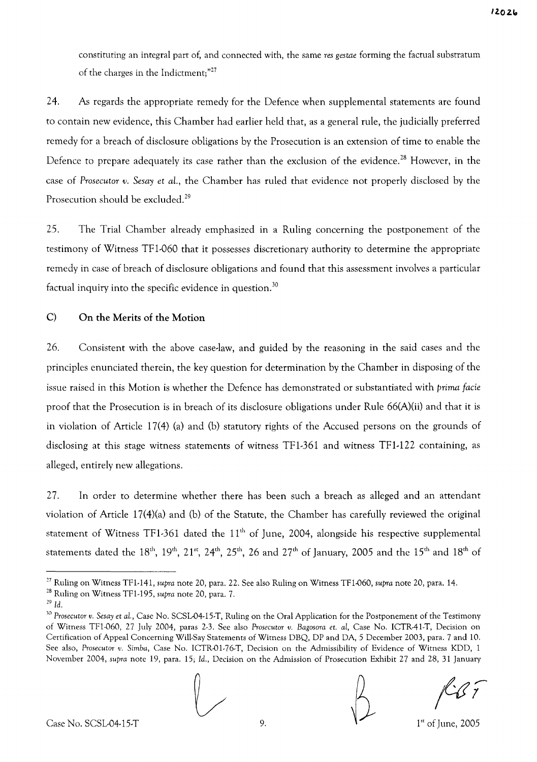constituting an integral part of, and connected with, the same *res gestae* forming the factual substratum of the charges in the Indictment;"<sup>27</sup>

24. As regards the appropriate remedy for the Defence when supplemental statements are found to contain new evidence, this Chamber had earlier held that, as a general rule, the judicially preferred remedy for a breach of disclosure obligations by the Prosecution is an extension of time to enable the Defence to prepare adequately its case rather than the exclusion of the evidence.<sup>28</sup> However, in the case of *Prosecutor v. Sesay et aL,* the Chamber has ruled that evidence not properly disclosed by the Prosecution should be excluded.<sup>29</sup>

25. The Trial Chamber already emphasized in a Ruling concerning the postponement of the testimony of Witness TFI-060 that it possesses discretionary authority to determine the appropriate remedy in case of breach of disclosure obligations and found that this assessment involves a particular factual inquiry into the specific evidence in question.<sup>30</sup>

## C) On the Merits of the Motion

26. Consistent with the above case-law, and guided by the reasoning in the said cases and the principles enunciated therein, the key question for determination by the Chamber in disposing of the issue raised in this Motion is whether the Defence has demonstrated or substantiated with *prima facie* proof that the Prosecution is in breach of its disclosure obligations under Rule 66(A)(ii) and that it is in violation of Article 17(4) (a) and (b) statutory rights of the Accused persons on the grounds of disclosing at this stage witness statements of witness TFI-361 and witness TFI-122 containing, as alleged, entirely new allegations.

27. In order to determine whether there has been such a breach as alleged and an attendant violation of Article 17(4)(a) and (b) of the Statute, the Chamber has carefully reviewed the original statement of Witness TF1-361 dated the  $11<sup>th</sup>$  of June, 2004, alongside his respective supplemental statements dated the  $18^{\text{th}}$ ,  $19^{\text{th}}$ ,  $21^{\text{st}}$ ,  $24^{\text{th}}$ ,  $25^{\text{th}}$ ,  $26$  and  $27^{\text{th}}$  of January, 2005 and the  $15^{\text{th}}$  and  $18^{\text{th}}$  of

<sup>]0</sup> *Prosecutor v. Sesay et al.,* Case No. SCSL-04-15-T, Ruling on the Oral Application for the Postponement of the Testimony of Witness TF1-060, 27 July 2004, paras 2-3. See also *Prosecutor v. Bagosora et. aI,* Case No. ICTR-41-T, Decision on Certification of Appeal Concerning Will-Say Statements of Witness DBQ, DP and DA, 5 December 2003, para. 7 and 10. See also, Prosecutor v. Simba, Case No. ICTR-01-76-T, Decision on the Admissibility of Evidence of Witness KDD, 1 November 2004, *supra* note 19, para. 15; *Id.,* Decision on the Admission of Prosecution Exhibit 27 and 28, 31 January



 $1<sup>st</sup>$  of June, 2005

<sup>27</sup> Ruling on Witness TFl-141, *supra* note 20, para. 22. See also Ruling on Witness TF1-060, *supra* note 20, para. 14.

<sup>28</sup> Ruling on Witness TFl-195, *supra* note 20, para. 7.

*<sup>29</sup> Id.*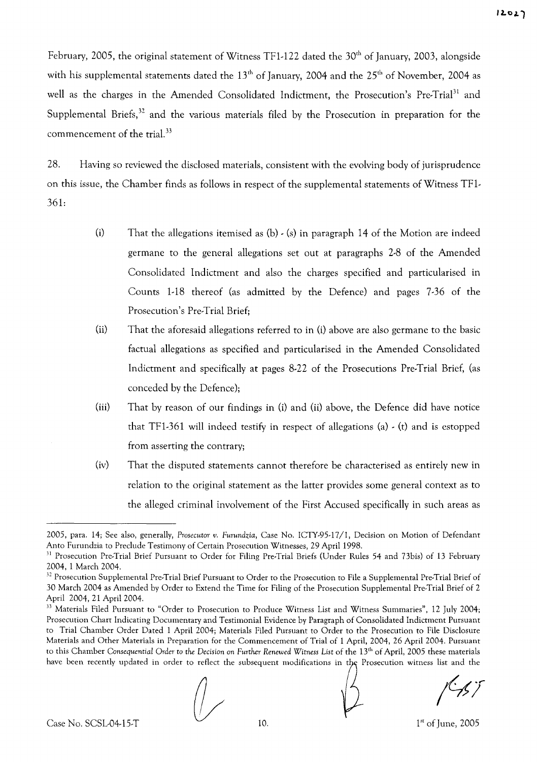February, 2005, the original statement of Witness TF1-122 dated the 30<sup>th</sup> of January, 2003, alongside with his supplemental statements dated the 13<sup>th</sup> of January, 2004 and the 25<sup>th</sup> of November, 2004 as well as the charges in the Amended Consolidated Indictment, the Prosecution's Pre-Trial<sup>31</sup> and Supplemental Briefs, $32$  and the various materials filed by the Prosecution in preparation for the commencement of the trial.<sup>33</sup>

28. Having so reviewed the disclosed materials, consistent with the evolving body of jurisprudence on this issue, the Chamber finds as follows in respect of the supplemental statements of Witness TFl-361:

- (i) That the allegations itemised as  $(b) \cdot (s)$  in paragraph 14 of the Motion are indeed germane to the general allegations set out at paragraphs 2-8 of the Amended Consolidated Indictment and also the charges specified and particularised in Counts 1-18 thereof (as admitted by the Defence) and pages 7-36 of the Prosecution's Pre-Trial Brief;
- (ii) That the aforesaid allegations referred to in (i) above are also germane to the basic factual allegations as specified and particularised in the Amended Consolidated Indictment and specifically at pages 8-22 of the Prosecutions Pre-Trial Brief, (as conceded by the Defence);
- (iii) That by reason of our findings in (i) and (ii) above, the Defence did have notice that TFI-361 will indeed testify in respect of allegations (a) - (t) and is estopped from asserting the contrary;
- (iv) That the disputed statements cannot therefore be characterised as entirely new in relation to the original statement as the latter provides some general context as to the alleged criminal involvement of the First Accused specifically in such areas as

<sup>2005,</sup> para. 14: See also, generally, *Prosecutor v. Furundzia,* Case No. *ICTY-95-17/1,* Decision on Motion of Defendant Anto Furundzia to Preclude Testimony of Certain Prosecution Witnesses, 29 April 1998.

<sup>&</sup>lt;sup>31</sup> Prosecution Pre-Trial Brief Pursuant to Order for Filing Pre-Trial Briefs (Under Rules 54 and 73bis) of 13 February 2004, 1 March 2004.

<sup>&</sup>lt;sup>32</sup> Prosecution Supplemental Pre-Trial Brief Pursuant to Order to the Prosecution to File a Supplemental Pre-Trial Brief of 30 March 2004 as Amended by Order to Extend the Time for Filing of the Prosecution Supplemental Pre-Trial Brief of 2 April 2004, 21 April 2004.

<sup>&</sup>lt;sup>33</sup> Materials Filed Pursuant to "Order to Prosecution to Produce Witness List and Witness Summaries", 12 July 2004; Prosecution Chart Indicating Documentary and Testimonial Evidence by Paragraph of Consolidated Indictment Pursuant to Trial Chamber Order Dated 1 April 2004; Materials Filed Pursuant to Order to the Prosecution to File Disclosure Materials and Other Materials in Preparation for the Commencement of Trial of 1 April, 2004, 26 April 2004. Pursuant to this Chamber *Consequential Order* to *the Decision* on *Further Renewed Witness* List of the 13th of April, 2005 these materials have been recently updated in order to reflect the subsequent modifications in the Prosecution witness list and the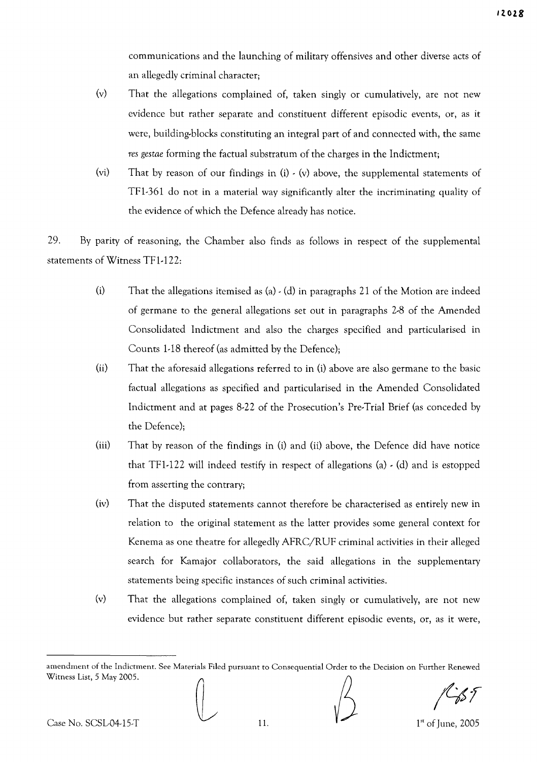communications and the launching of military offensives and other diverse acts of an allegedly criminal character;

- (v) That the allegations complained of, taken singly or cumulatively, are not new evidence but rather separate and constituent different episodic events, or, as it were, building-blocks constituting an integral part of and connected with, the same *res gestae* forming the factual substratum of the charges in the Indictment;
- (vi) That by reason of our findings in (i) (v) above, the supplemental statements of TFl-361 do not in a material way significantly alter the incriminating quality of the evidence of which the Defence already has notice.

29. By parity of reasoning, the Chamber also finds as follows in respect of the supplemental statements of Witness TFl-I22:

- (i) That the allegations itemised as (a)  $\cdot$  (d) in paragraphs 21 of the Motion are indeed of germane to the general allegations set out in paragraphs 2-8 of the Amended Consolidated Indictment and also the charges specified and particularised in Counts 1-18 thereof (as admitted by the Defence);
- (ii) That the aforesaid allegations referred to in (i) above are also germane to the basic factual allegations as specified and particularised in the Amended Consolidated Indictment and at pages 8-22 of the Prosecution's Pre-Trial Brief (as conceded by the Defence);
- (iii) That by reason of the findings in (i) and (ii) above, the Defence did have notice that TF1-122 will indeed testify in respect of allegations (a)  $\cdot$  (d) and is estopped from asserting the contrary;
- (iv) That the disputed statements cannot therefore be characterised as entirely new in relation to the original statement as the latter provides some general context for Kenema as one theatre for allegedly AFRC/RUF criminal activities in their alleged search for Kamajor collaborators, the said allegations in the supplementary statements being specific instances of such criminal activities.
- (v) That the allegations complained of, taken singly or cumulatively, are not new evidence but rather separate constituent different episodic events, or, as it were,

amendment of the Indictment. See Materials Filed pursuant to Consequential Order to the Decision on Further Renewed Witness List, 5 May 2005.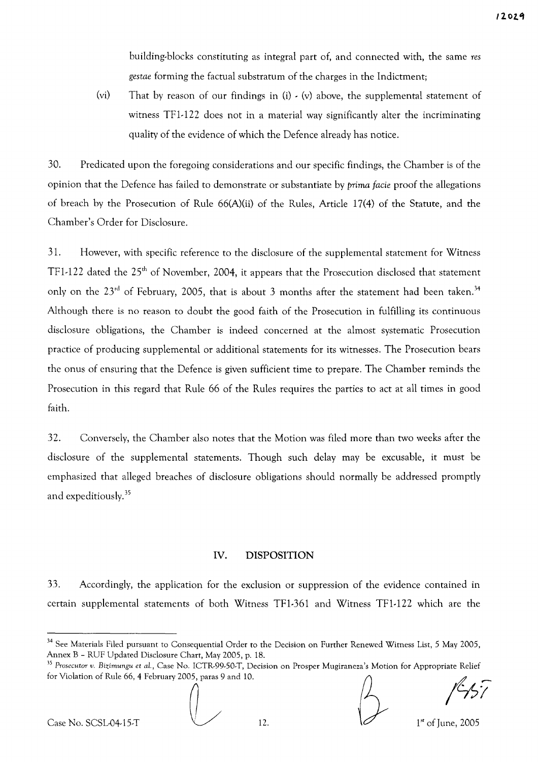building-blocks constituting as integral part of, and connected with, the same *res gestae* forming the factual substratum of the charges in the Indictment;

(vi) That by reason of our findings in  $(i)$   $\cdot$   $(v)$  above, the supplemental statement of witness TFl-l22 does not in a material way significantly alter the incriminating quality of the evidence of which the Defence already has notice.

30. Predicated upon the foregoing considerations and our specific findings, the Chamber is of the opinion that the Defence has failed to demonstrate or substantiate by *prima facie* proof the allegations of breach by the Prosecution of Rule 66(A)(ii) of the Rules, Article 17(4) of the Statute, and the Chamber's Order for Disclosure.

31. However, with specific reference to the disclosure of the supplemental statement for Witness TF1-122 dated the 25<sup>th</sup> of November, 2004, it appears that the Prosecution disclosed that statement only on the  $23<sup>rd</sup>$  of February, 2005, that is about 3 months after the statement had been taken.<sup>34</sup> Although there is no reason to doubt the good faith of the Prosecution in fulfilling its continuous disclosure obligations, the Chamber is indeed concerned at the almost systematic Prosecution practice of producing supplemental or additional statements for its witnesses. The Prosecution bears the onus of ensuring that the Defence is given sufficient time to prepare. The Chamber reminds the Prosecution in this regard that Rule 66 of the Rules requires the parties to act at all times in good faith.

32. Conversely, the Chamber also notes that the Motion was filed more than two weeks after the disclosure of the supplemental statements. Though such delay may be excusable, it must be emphasized that alleged breaches of disclosure obligations should normally be addressed promptly and expeditiously.35

#### **IV. DISPOSITION**

33. Accordingly, the application for the exclusion or suppression of the evidence contained in certain supplemental statements of both Witness TFl-361 and Witness TFl-l22 which are the

<sup>&</sup>lt;sup>34</sup> See Materials Filed pursuant to Consequential Order to the Decision on Further Renewed Witness List, 5 May 2005, Annex B - RUF Updated Disclosure Chart, May 2005, p. 18.

*<sup>35</sup> Prosecutor v. Bizimungu et al.,* Case No. ICTR-99-50-T, Decision on Prosper Mugiraneza's Motion for Appropriate Relief for Violation of Rule 66, 4 February 2005, paras 9 and 10.